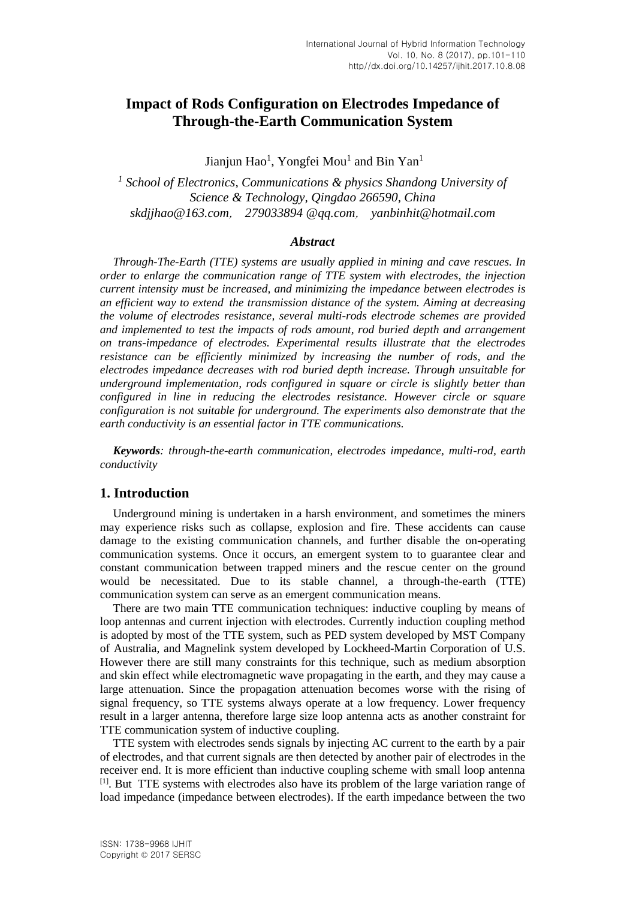# **Impact of Rods Configuration on Electrodes Impedance of Through-the-Earth Communication System**

Jianjun Hao<sup>1</sup>, Yongfei Mou<sup>1</sup> and Bin Yan<sup>1</sup>

<sup>1</sup> School of Electronics, Communications & physics Shandong University of *Science & Technology, Qingdao 266590, China skdjjhao@163.com*, *279033894 @qq.com*, *yanbinhit@hotmail.com*

#### *Abstract*

*Through-The-Earth (TTE) systems are usually applied in mining and cave rescues. In order to enlarge the communication range of TTE system with electrodes, the injection current intensity must be increased, and minimizing the impedance between electrodes is an efficient way to extend the transmission distance of the system. Aiming at decreasing the volume of electrodes resistance, several multi-rods electrode schemes are provided and implemented to test the impacts of rods amount, rod buried depth and arrangement on trans-impedance of electrodes. Experimental results illustrate that the electrodes resistance can be efficiently minimized by increasing the number of rods, and the electrodes impedance decreases with rod buried depth increase. Through unsuitable for underground implementation, rods configured in square or circle is slightly better than configured in line in reducing the electrodes resistance. However circle or square configuration is not suitable for underground. The experiments also demonstrate that the earth conductivity is an essential factor in TTE communications.*

*Keywords: through-the-earth communication, electrodes impedance, multi-rod, earth conductivity*

## **1. Introduction**

Underground mining is undertaken in a harsh environment, and sometimes the miners may experience risks such as collapse, explosion and fire. These accidents can cause damage to the existing communication channels, and further disable the on-operating communication systems. Once it occurs, an emergent system to to guarantee clear and constant communication between trapped miners and the rescue center on the ground would be necessitated. Due to its stable channel, a through-the-earth (TTE) communication system can serve as an emergent communication means.

There are two main TTE communication techniques: inductive coupling by means of loop antennas and current injection with electrodes. Currently induction coupling method is adopted by most of the TTE system, such as PED system developed by MST Company of Australia, and Magnelink system developed by Lockheed-Martin Corporation of U.S. However there are still many constraints for this technique, such as medium absorption and skin effect while electromagnetic wave propagating in the earth, and they may cause a large attenuation. Since the propagation attenuation becomes worse with the rising of signal frequency, so TTE systems always operate at a low frequency. Lower frequency result in a larger antenna, therefore large size loop antenna acts as another constraint for TTE communication system of inductive coupling.

TTE system with electrodes sends signals by injecting AC current to the earth by a pair of electrodes, and that current signals are then detected by another pair of electrodes in the receiver end. It is more efficient than inductive coupling scheme with small loop antenna <sup>[1]</sup>. But TTE systems with electrodes also have its problem of the large variation range of load impedance (impedance between electrodes). If the earth impedance between the two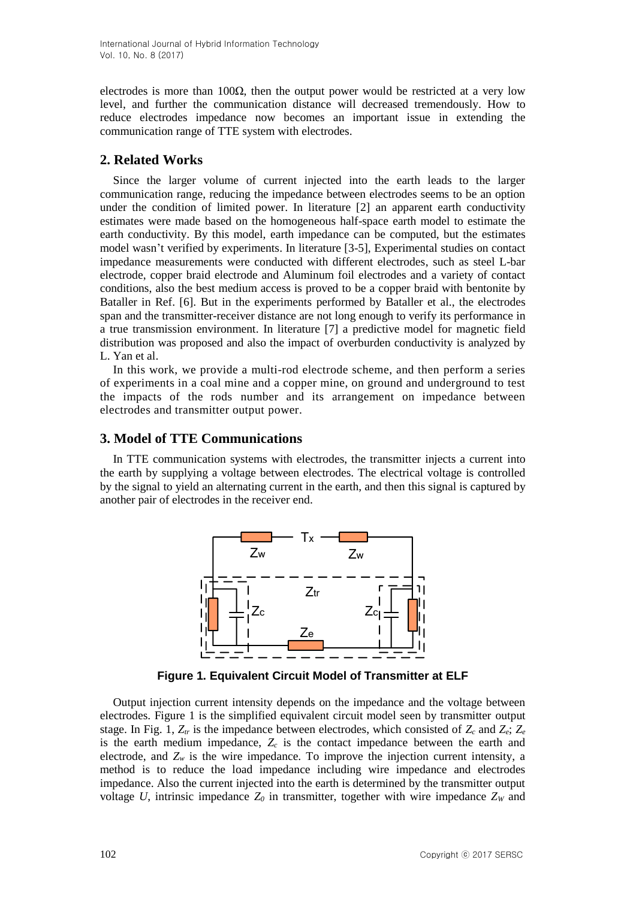electrodes is more than 100 $\Omega$ , then the output power would be restricted at a very low level, and further the communication distance will decreased tremendously. How to reduce electrodes impedance now becomes an important issue in extending the communication range of TTE system with electrodes.

## **2. Related Works**

Since the larger volume of current injected into the earth leads to the larger communication range, reducing the impedance between electrodes seems to be an option under the condition of limited power. In literature [2] an apparent earth conductivity estimates were made based on the homogeneous half-space earth model to estimate the earth conductivity. By this model, earth impedance can be computed, but the estimates model wasn't verified by experiments. In literature [3-5], Experimental studies on contact impedance measurements were conducted with different electrodes, such as steel L-bar electrode, copper braid electrode and Aluminum foil electrodes and a variety of contact conditions, also the best medium access is proved to be a copper braid with bentonite by Bataller in Ref. [6]. But in the experiments performed by Bataller et al., the electrodes span and the transmitter-receiver distance are not long enough to verify its performance in a true transmission environment. In literature [7] a predictive model for magnetic field distribution was proposed and also the impact of overburden conductivity is analyzed by L. Yan et al.

In this work, we provide a multi-rod electrode scheme, and then perform a series of experiments in a coal mine and a copper mine, on ground and underground to test the impacts of the rods number and its arrangement on [impedance](http://www.baidu.com/link?url=33aIWlImV-JjzGJ2cvogkl_eWlMOfJYfzqgpCDiHO2fqykxGFKm3E5lsFm-E3VPoY7HwZtD1xMEUScotkkZeRJINI0O-ZGT1Th0NMl1S0Zpb02aSl4tJcO04T8zSN_rv&wd=&eqid=b06d6e2200004b4400000004572976cc) between electrodes and transmitter output power.

## **3. Model of TTE Communications**

In TTE communication systems with electrodes, the transmitter injects a current into the earth by supplying a voltage between electrodes. The electrical voltage is controlled by the signal to yield an alternating current in the earth, and then this signal is captured by another pair of electrodes in the receiver end.



**Figure 1. Equivalent Circuit Model of Transmitter at ELF**

Output injection current intensity depends on the impedance and the voltage between electrodes. Figure 1 is the simplified equivalent circuit model seen by transmitter output stage. In Fig. 1,  $Z_{tr}$  is the impedance between electrodes, which consisted of  $Z_c$  and  $Z_e$ ;  $Z_e$ is the earth medium impedance,  $Z_c$  is the contact impedance between the earth and electrode, and *Z<sup>w</sup>* is the wire impedance. To improve the injection current intensity, a method is to reduce the load impedance including wire impedance and electrodes impedance. Also the current injected into the earth is determined by the transmitter output voltage *U*, intrinsic impedance  $Z_0$  in transmitter, together with wire impedance  $Z_W$  and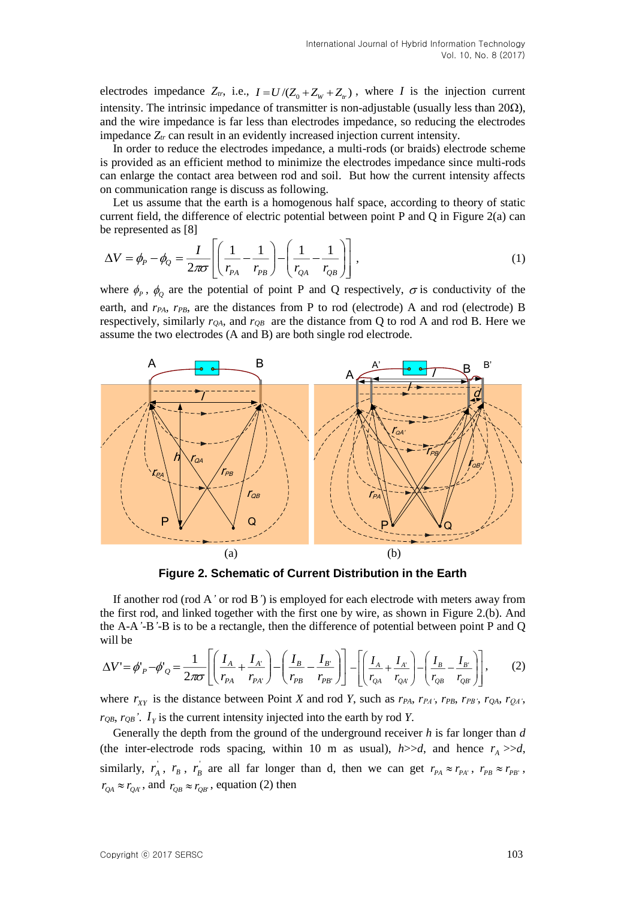electrodes impedance  $Z_t$ , i.e.,  $I = U/(Z_0 + Z_w + Z_t)$ , where *I* is the injection current intensity. The intrinsic impedance of transmitter is non-adjustable (usually less than  $20\Omega$ ), and the wire impedance is far less than electrodes impedance, so reducing the electrodes impedance *Ztr* can result in an evidently increased injection current intensity.

In order to reduce the electrodes impedance, a multi-rods (or braids) electrode scheme is provided as an efficient method to minimize the electrodes impedance since multi-rods can enlarge the contact area between rod and soil. But how the current intensity affects on communication range is discuss as following.

Let us assume that the earth is a homogenous half space, according to theory of static current field, the difference of electric potential between point P and Q in Figure 2(a) can be represented as [8]

$$
\Delta V = \phi_P - \phi_Q = \frac{I}{2\pi\sigma} \left[ \left( \frac{1}{r_{PA}} - \frac{1}{r_{PB}} \right) - \left( \frac{1}{r_{QA}} - \frac{1}{r_{QB}} \right) \right],
$$
 (1)

where  $\phi_p$ ,  $\phi_Q$  are the potential of point P and Q respectively,  $\sigma$  is conductivity of the earth, and  $r_{PA}$ ,  $r_{PB}$ , are the distances from P to rod (electrode) A and rod (electrode) B respectively, similarly  $r_{OA}$ , and  $r_{OB}$  are the distance from Q to rod A and rod B. Here we assume the two electrodes (A and B) are both single rod electrode.



**Figure 2. Schematic of Current Distribution in the Earth**

If another rod (rod A*'* or rod B*'*) is employed for each electrode with meters away from the first rod, and linked together with the first one by wire, as shown in Figure 2.(b). And the A-A*'*-B*'*-B is to be a rectangle, then the difference of potential between point P and Q will be

$$
\Delta V' = \phi'_{P} - \phi'_{Q} = \frac{1}{2\pi\sigma} \left[ \left( \frac{I_{A}}{r_{PA}} + \frac{I_{A'}}{r_{PA'}} \right) - \left( \frac{I_{B}}{r_{PB}} - \frac{I_{B'}}{r_{PB'}} \right) \right] - \left[ \left( \frac{I_{A}}{r_{QA}} + \frac{I_{A'}}{r_{QA'}} \right) - \left( \frac{I_{B}}{r_{QB}} - \frac{I_{B'}}{r_{QB'}} \right) \right],
$$
 (2)

where  $r_{XY}$  is the distance between Point *X* and rod *Y*, such as  $r_{PA}$ ,  $r_{PA}$ ,  $r_{PB}$ ,  $r_{PB}$ ,  $r_{QA}$ ,  $r_{QA}$ ,  $r_{QB}$ ,  $r_{QB}$ .  $I<sub>y</sub>$  is the current intensity injected into the earth by rod *Y*.

Generally the depth from the ground of the underground receiver *h* is far longer than *d* (the inter-electrode rods spacing, within 10 m as usual),  $h$ >>*d*, and hence  $r_A$  >>*d*, similarly,  $r_A$ ,  $r_B$ ,  $r_B$  are all far longer than d, then we can get  $r_{PA} \approx r_{PA}$ ,  $r_{PB} \approx r_{PB'}$ ,  $r_{QA} \approx r_{QA}$ , and  $r_{QB} \approx r_{QB}$ , equation (2) then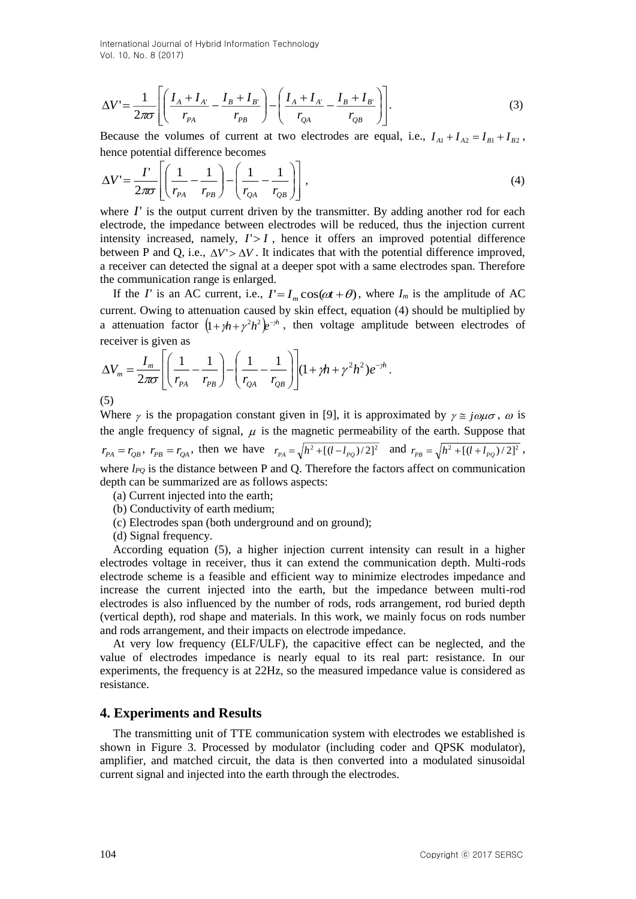International Journal of Hybrid Information Technology Vol. 10, No. 8 (2017)

$$
\Delta V' = \frac{1}{2\pi\sigma} \left[ \left( \frac{I_A + I_{A'}}{r_{PA}} - \frac{I_B + I_{B'}}{r_{PB}} \right) - \left( \frac{I_A + I_{A'}}{r_{QA}} - \frac{I_B + I_{B'}}{r_{QB}} \right) \right].
$$
 (3)

Because the volumes of current at two electrodes are equal, i.e.,  $I_{A1} + I_{A2} = I_{B1} + I_{B2}$ , hence potential difference becomes

$$
\Delta V' = \frac{I'}{2\pi\sigma} \left[ \left( \frac{1}{r_{PA}} - \frac{1}{r_{PB}} \right) - \left( \frac{1}{r_{QA}} - \frac{1}{r_{QB}} \right) \right],\tag{4}
$$

where  $I'$  is the output current driven by the transmitter. By adding another rod for each electrode, the impedance between electrodes will be reduced, thus the injection current intensity increased, namely,  $I > I$ , hence it offers an improved potential difference between P and Q, i.e.,  $\Delta V > \Delta V$ . It indicates that with the potential difference improved, a receiver can detected the signal at a deeper spot with a same electrodes span. Therefore the communication range is enlarged.

If the *I*' is an AC current, i.e.,  $I' = I_m \cos(\omega t + \theta)$ , where  $I_m$  is the amplitude of AC current. Owing to attenuation caused by skin effect, equation (4) should be multiplied by a attenuation factor  $\left(1 + \gamma h + \gamma^2 h^2\right)e^{-\gamma h}$ , then voltage amplitude between electrodes of receiver is given as

$$
\Delta V_m = \frac{I_m}{2\pi\sigma} \left[ \left( \frac{1}{r_{Pa}} - \frac{1}{r_{PB}} \right) - \left( \frac{1}{r_{QA}} - \frac{1}{r_{QB}} \right) \right] (1 + \gamma h + \gamma^2 h^2) e^{-\gamma h}.
$$
\n(5)

(5)

Where  $\gamma$  is the propagation constant given in [9], it is approximated by  $\gamma \approx j \omega \mu \sigma$ ,  $\omega$  is the angle frequency of signal,  $\mu$  is the magnetic permeability of the earth. Suppose that  $r_{PA} = r_{QB}$ ,  $r_{PB} = r_{QA}$ , then we have  $r_{PA} = \sqrt{h^2 + [(l - l_{PQ})/2]^2}$  and  $r_{PB} = \sqrt{h^2 + [(l + l_{PQ})/2]^2}$ , where  $l_{PO}$  is the distance between P and Q. Therefore the factors affect on communication depth can be summarized are as follows aspects:

- (a) Current injected into the earth;
- (b) Conductivity of earth medium;
- (c) Electrodes span (both underground and on ground);
- (d) Signal frequency.

According equation (5), a higher injection current intensity can result in a higher electrodes voltage in receiver, thus it can extend the communication depth. Multi-rods electrode scheme is a feasible and efficient way to minimize electrodes impedance and increase the current injected into the earth, but the impedance between multi-rod electrodes is also influenced by the number of rods, rods arrangement, rod buried depth (vertical depth), rod shape and materials. In this work, we mainly focus on rods number and rods arrangement, and their impacts on electrode impedance.

At very low frequency (ELF/ULF), the capacitive effect can be neglected, and the value of electrodes impedance is nearly equal to its real part: resistance. In our experiments, the frequency is at 22Hz, so the measured impedance value is considered as resistance.

#### **4. Experiments and Results**

The transmitting unit of TTE communication system with electrodes we established is shown in Figure 3. Processed by modulator (including coder and QPSK modulator), amplifier, and matched circuit, the data is then converted into a modulated sinusoidal current signal and injected into the earth through the electrodes.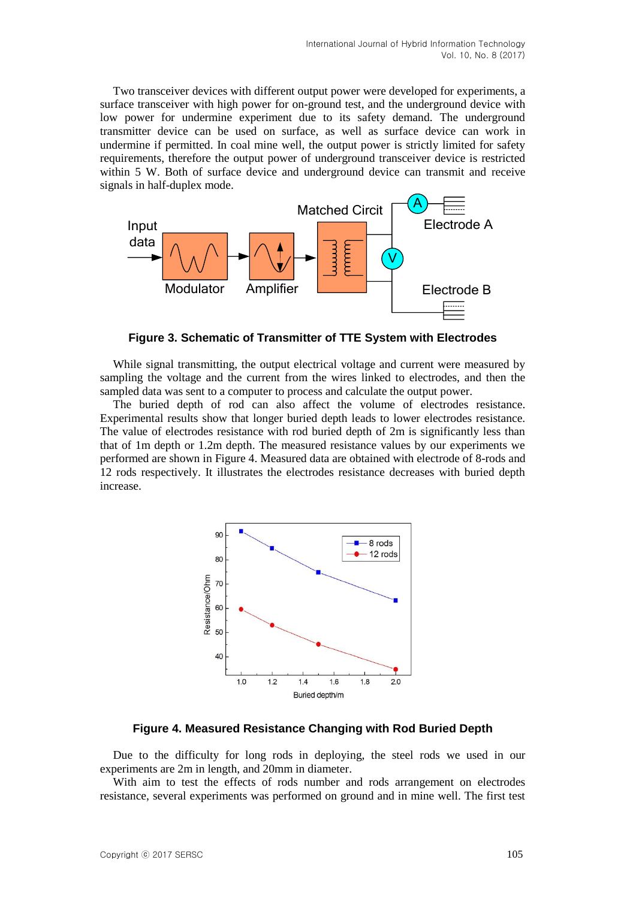Two transceiver devices with different output power were developed for experiments, a surface transceiver with high power for on-ground test, and the underground device with low power for undermine experiment due to its safety demand. The underground transmitter device can be used on surface, as well as surface device can work in undermine if permitted. In coal mine well, the output power is strictly limited for safety requirements, therefore the output power of underground transceiver device is restricted within 5 W. Both of surface device and underground device can transmit and receive signals in half-duplex mode.



**Figure 3. Schematic of Transmitter of TTE System with Electrodes**

While signal transmitting, the output electrical voltage and current were measured by sampling the voltage and the current from the wires linked to electrodes, and then the sampled data was sent to a computer to process and calculate the output power.

The buried depth of rod can also affect the volume of electrodes resistance. Experimental results show that longer buried depth leads to lower electrodes resistance. The value of electrodes resistance with rod buried depth of 2m is significantly less than that of 1m depth or 1.2m depth. The measured resistance values by our experiments we performed are shown in Figure 4. Measured data are obtained with electrode of 8-rods and 12 rods respectively. It illustrates the electrodes resistance decreases with buried depth increase.



**Figure 4. Measured Resistance Changing with Rod Buried Depth**

Due to the difficulty for long rods in deploying, the steel rods we used in our experiments are 2m in length, and 20mm in diameter.

With aim to test the effects of rods number and rods arrangement on electrodes resistance, several experiments was performed on ground and in mine well. The first test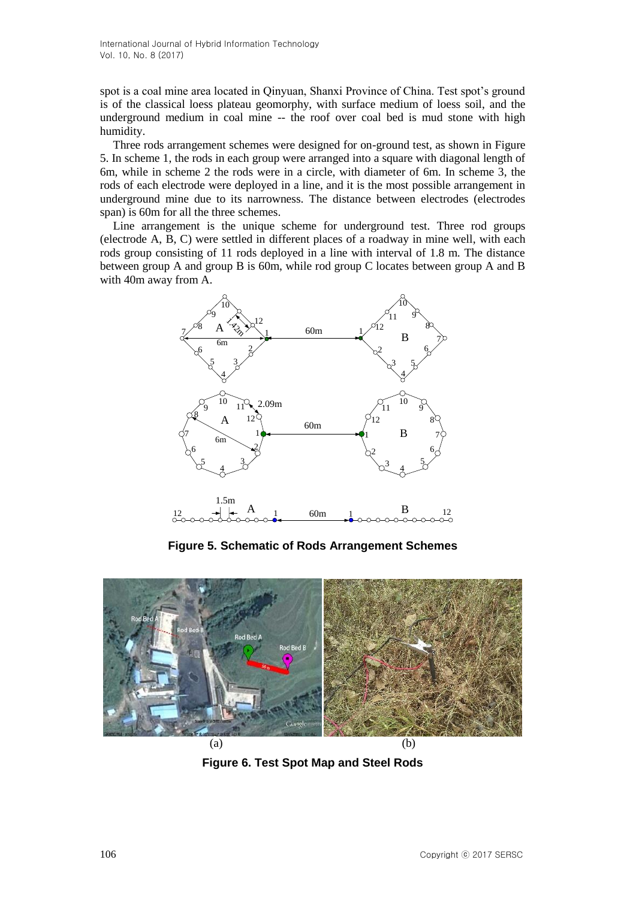spot is a coal mine area located in Qinyuan, Shanxi Province of China. Test spot's ground is of the classical loess plateau geomorphy, with surface medium of loess soil, and the underground medium in coal mine -- the roof over coal bed is mud stone with high humidity.

Three rods arrangement schemes were designed for on-ground test, as shown in Figure 5. In scheme 1, the rods in each group were arranged into a square with diagonal length of 6m, while in scheme 2 the rods were in a circle, with diameter of 6m. In scheme 3, the rods of each electrode were deployed in a line, and it is the most possible arrangement in underground mine due to its narrowness. The distance between electrodes (electrodes span) is 60m for all the three schemes.

Line arrangement is the unique scheme for underground test. Three rod groups (electrode A, B, C) were settled in different places of a roadway in mine well, with each rods group consisting of 11 rods deployed in a line with interval of 1.8 m. The distance between group A and group B is 60m, while rod group C locates between group A and B with 40m away from A.



**Figure 5. Schematic of Rods Arrangement Schemes**



**Figure 6. Test Spot Map and Steel Rods**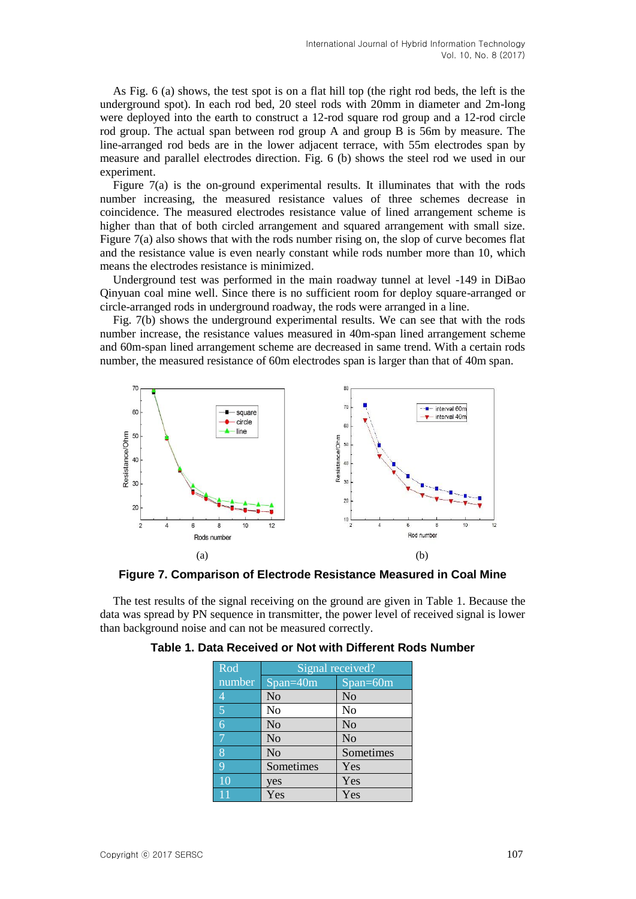As Fig. 6 (a) shows, the test spot is on a flat hill top (the right rod beds, the left is the underground spot). In each rod bed, 20 steel rods with 20mm in diameter and 2m-long were deployed into the earth to construct a 12-rod square rod group and a 12-rod circle rod group. The actual span between rod group A and group B is 56m by measure. The line-arranged rod beds are in the lower adjacent terrace, with 55m electrodes span by measure and parallel electrodes direction. Fig. 6 (b) shows the steel rod we used in our experiment.

Figure 7(a) is the on-ground experimental results. It illuminates that with the rods number increasing, the measured resistance values of three schemes decrease in coincidence. The measured electrodes resistance value of lined arrangement scheme is higher than that of both circled arrangement and squared arrangement with small size. Figure 7(a) also shows that with the rods number rising on, the slop of curve becomes flat and the resistance value is even nearly constant while rods number more than 10, which means the electrodes resistance is minimized.

Underground test was performed in the main roadway tunnel at level -149 in DiBao Qinyuan coal mine well. Since there is no sufficient room for deploy square-arranged or circle-arranged rods in underground roadway, the rods were arranged in a line.

Fig. 7(b) shows the underground experimental results. We can see that with the rods number increase, the resistance values measured in 40m-span lined arrangement scheme and 60m-span lined arrangement scheme are decreased in same trend. With a certain rods number, the measured resistance of 60m electrodes span is larger than that of 40m span.



**Figure 7. Comparison of Electrode Resistance Measured in Coal Mine**

The test results of the signal receiving on the ground are given in Table 1. Because the data was spread by PN sequence in transmitter, the power level of received signal is lower than background noise and can not be measured correctly.

| Rod            | Signal received? |                |
|----------------|------------------|----------------|
| number         | $Span=40m$       | Span=60m       |
| $\overline{4}$ | No               | No             |
| 5              | No               | No             |
| $\overline{6}$ | N <sub>o</sub>   | N <sub>o</sub> |
| 7              | N <sub>o</sub>   | N <sub>o</sub> |
| 8              | N <sub>o</sub>   | Sometimes      |
| $\overline{Q}$ | Sometimes        | Yes            |
| <sup>10</sup>  | yes              | Yes            |
|                | Yes              | Yes            |

| Table 1. Data Received or Not with Different Rods Number |
|----------------------------------------------------------|
|----------------------------------------------------------|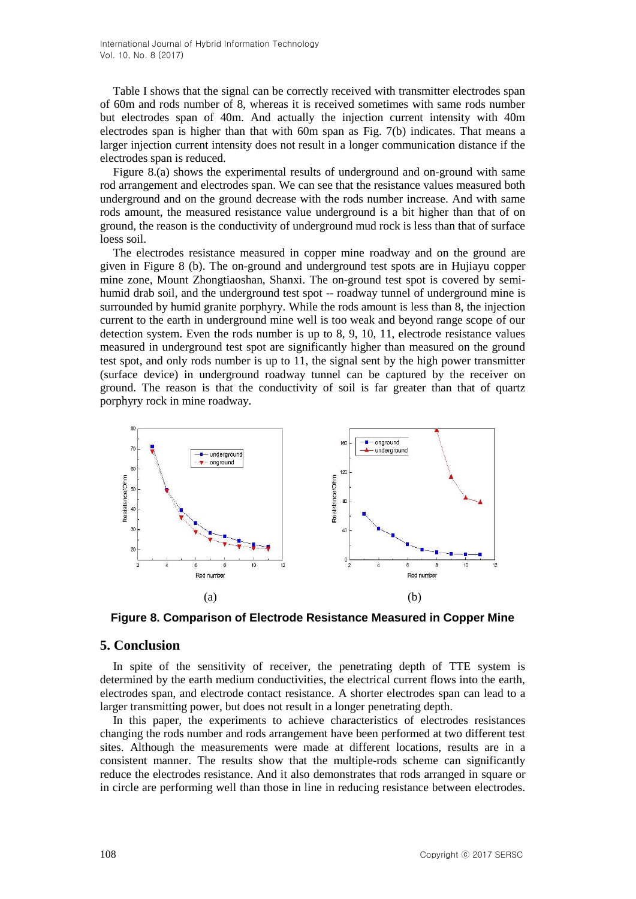Table I shows that the signal can be correctly received with transmitter electrodes span of 60m and rods number of 8, whereas it is received sometimes with same rods number but electrodes span of 40m. And actually the injection current intensity with 40m electrodes span is higher than that with 60m span as Fig. 7(b) indicates. That means a larger injection current intensity does not result in a longer communication distance if the electrodes span is reduced.

Figure 8.(a) shows the experimental results of underground and on-ground with same rod arrangement and electrodes span. We can see that the resistance values measured both underground and on the ground decrease with the rods number increase. And with same rods amount, the measured resistance value underground is a bit higher than that of on ground, the reason is the conductivity of underground mud rock is less than that of surface loess soil.

The electrodes resistance measured in copper mine roadway and on the ground are given in Figure 8 (b). The on-ground and underground test spots are in Hujiayu copper mine zone, Mount Zhongtiaoshan, Shanxi. The on-ground test spot is covered by semihumid drab soil, and the underground test spot -- roadway tunnel of underground mine is surrounded by humid granite porphyry. While the rods amount is less than 8, the injection current to the earth in underground mine well is too weak and beyond range scope of our detection system. Even the rods number is up to 8, 9, 10, 11, electrode resistance values measured in underground test spot are significantly higher than measured on the ground test spot, and only rods number is up to 11, the signal sent by the high power transmitter (surface device) in underground roadway tunnel can be captured by the receiver on ground. The reason is that the conductivity of soil is far greater than that of quartz porphyry rock in mine roadway.



**Figure 8. Comparison of Electrode Resistance Measured in Copper Mine**

## **5. Conclusion**

In spite of the sensitivity of receiver, the penetrating depth of TTE system is determined by the earth medium conductivities, the electrical current flows into the earth, electrodes span, and electrode contact resistance. A shorter electrodes span can lead to a larger transmitting power, but does not result in a longer penetrating depth.

In this paper, the experiments to achieve characteristics of electrodes resistances changing the rods number and rods arrangement have been performed at two different test sites. Although the measurements were made at different locations, results are in a consistent manner. The results show that the multiple-rods scheme can significantly reduce the electrodes resistance. And it also demonstrates that rods arranged in square or in circle are performing well than those in line in reducing resistance between electrodes.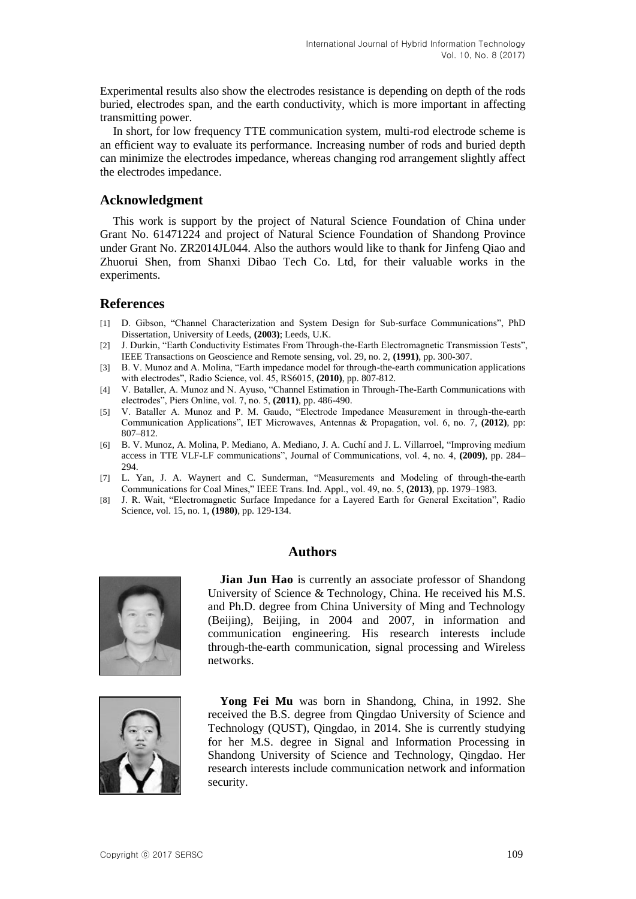Experimental results also show the electrodes resistance is depending on depth of the rods buried, electrodes span, and the earth conductivity, which is more important in affecting transmitting power.

In short, for low frequency TTE communication system, multi-rod electrode scheme is an efficient way to evaluate its performance. Increasing number of rods and buried depth can minimize the electrodes impedance, whereas changing rod arrangement slightly affect the electrodes impedance.

### **Acknowledgment**

This work is support by the project of Natural Science Foundation of China under Grant No. 61471224 and project of Natural Science Foundation of Shandong Province under Grant No. ZR2014JL044. Also the authors would like to thank for Jinfeng Qiao and Zhuorui Shen, from Shanxi Dibao Tech Co. Ltd, for their valuable works in the experiments.

## **References**

- [1] D. Gibson, "Channel Characterization and System Design for Sub-surface Communications", PhD Dissertation, University of Leeds, **(2003)**; Leeds, U.K.
- [2] J. Durkin, "Earth Conductivity Estimates From Through-the-Earth Electromagnetic Transmission Tests", IEEE Transactions on Geoscience and Remote sensing, vol. 29, no. 2, **(1991)**, pp. 300-307.
- [3] B. V. Munoz and A. Molina, "Earth impedance model for through-the-earth communication applications with electrodes", Radio Science, vol. 45, RS6015, **(2010)**, pp. 807-812.
- [4] V. Bataller, A. Munoz and N. Ayuso, "Channel Estimation in Through-The-Earth Communications with electrodes", Piers Online, vol. 7, no. 5, **(2011)**, pp. 486-490.
- [5] V. Bataller A. Munoz and P. M. Gaudo, "Electrode Impedance Measurement in through-the-earth Communication Applications", IET Microwaves, Antennas & Propagation, vol. 6, no. 7, **(2012)**, pp: 807–812.
- [6] B. V. Munoz, A. Molina, P. Mediano, A. Mediano, J. A. Cuchíand J. L. Villarroel, "Improving medium access in TTE VLF-LF communications", Journal of Communications, vol. 4, no. 4, **(2009)**, pp. 284– 294.
- [7] L. Yan, J. A. Waynert and C. Sunderman, "Measurements and Modeling of through-the-earth Communications for Coal Mines," IEEE Trans. Ind. Appl., vol. 49, no. 5, **(2013)**, pp. 1979–1983.
- [8] J. R. Wait, "Electromagnetic Surface Impedance for a Layered Earth for General Excitation", Radio Science, vol. 15, no. 1, **(1980)**, pp. 129-134.

## **Authors**



**Jian Jun Hao** is currently an associate professor of Shandong University of Science & Technology, China. He received his M.S. and Ph.D. degree from China University of Ming and Technology (Beijing), Beijing, in 2004 and 2007, in information and communication engineering. His research interests include through-the-earth communication, signal processing and Wireless networks.



**Yong Fei Mu** was born in Shandong, China, in 1992. She received the B.S. degree from Qingdao University of Science and Technology (QUST), Qingdao, in 2014. She is currently studying for her M.S. degree in Signal and Information Processing in Shandong University of Science and Technology, Qingdao. Her research interests include communication network and information security.